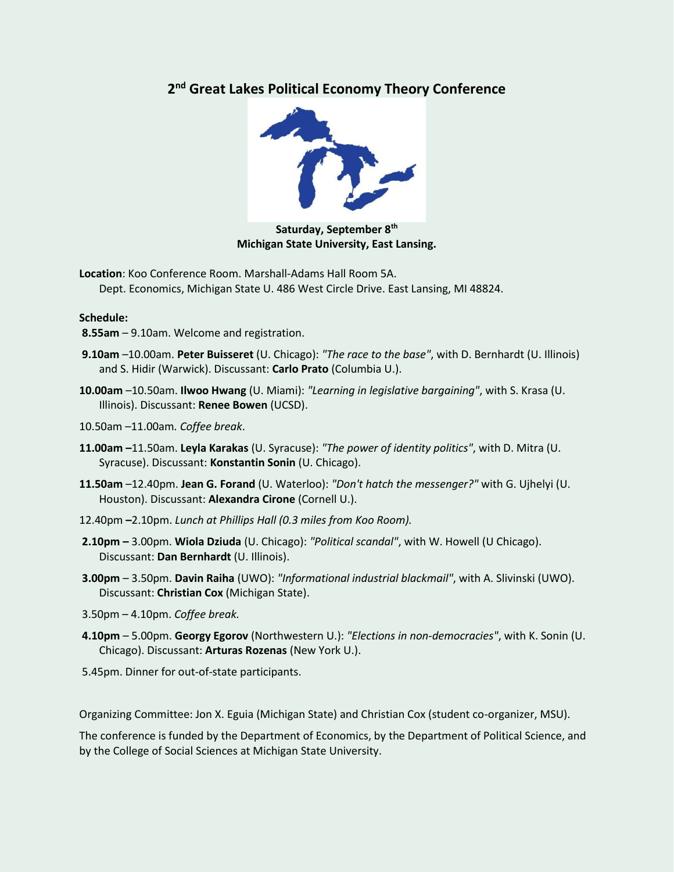## **2 nd Great Lakes Political Economy Theory Conference**



**Saturday, September 8th Michigan State University, East Lansing.**

**Location**: Koo Conference Room. Marshall-Adams Hall Room 5A. Dept. Economics, Michigan State U. 486 West Circle Drive. East Lansing, MI 48824.

## **Schedule:**

- **8.55am**  9.10am. Welcome and registration.
- **9.10am** –10.00am. **Peter Buisseret** (U. Chicago): *"The race to the base"*, with D. Bernhardt (U. Illinois) and S. Hidir (Warwick). Discussant: **Carlo Prato** (Columbia U.).
- **10.00am** –10.50am. **Ilwoo Hwang** (U. Miami): *"Learning in legislative bargaining"*, with S. Krasa (U. Illinois). Discussant: **Renee Bowen** (UCSD).
- 10.50am –11.00am*. Coffee break*.
- **11.00am –**11.50am. **Leyla Karakas** (U. Syracuse): *"The power of identity politics"*, with D. Mitra (U. Syracuse). Discussant: **Konstantin Sonin** (U. Chicago).
- **11.50am** –12.40pm. **Jean G. Forand** (U. Waterloo): *"Don't hatch the messenger?"* with G. Ujhelyi (U. Houston). Discussant: **Alexandra Cirone** (Cornell U.).
- 12.40pm **–**2.10pm. *Lunch at Phillips Hall (0.3 miles from Koo Room).*
- **2.10pm –** 3.00pm. **Wiola Dziuda** (U. Chicago): *"Political scandal"*, with W. Howell (U Chicago). Discussant: **Dan Bernhardt** (U. Illinois).
- **3.00pm** 3.50pm. **Davin Raiha** (UWO): *"Informational industrial blackmail"*, with A. Slivinski (UWO). Discussant: **Christian Cox** (Michigan State).
- 3.50pm 4.10pm. *Coffee break.*
- **4.10pm** 5.00pm. **Georgy Egorov** (Northwestern U.): *"Elections in non-democracies"*, with K. Sonin (U. Chicago). Discussant: **Arturas Rozenas** (New York U.).
- 5.45pm. Dinner for out-of-state participants.

Organizing Committee: Jon X. Eguia (Michigan State) and Christian Cox (student co-organizer, MSU).

The conference is funded by the Department of Economics, by the Department of Political Science, and by the College of Social Sciences at Michigan State University.